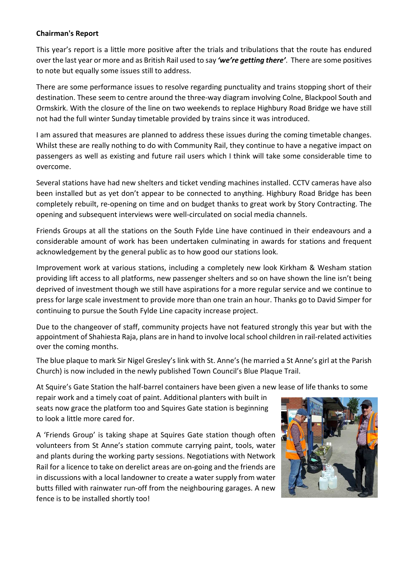## **Chairman's Report**

This year's report is a little more positive after the trials and tribulations that the route has endured over the last year or more and as British Rail used to say *'we're getting there'*. There are some positives to note but equally some issues still to address.

There are some performance issues to resolve regarding punctuality and trains stopping short of their destination. These seem to centre around the three-way diagram involving Colne, Blackpool South and Ormskirk. With the closure of the line on two weekends to replace Highbury Road Bridge we have still not had the full winter Sunday timetable provided by trains since it was introduced.

I am assured that measures are planned to address these issues during the coming timetable changes. Whilst these are really nothing to do with Community Rail, they continue to have a negative impact on passengers as well as existing and future rail users which I think will take some considerable time to overcome.

Several stations have had new shelters and ticket vending machines installed. CCTV cameras have also been installed but as yet don't appear to be connected to anything. Highbury Road Bridge has been completely rebuilt, re-opening on time and on budget thanks to great work by Story Contracting. The opening and subsequent interviews were well-circulated on social media channels.

Friends Groups at all the stations on the South Fylde Line have continued in their endeavours and a considerable amount of work has been undertaken culminating in awards for stations and frequent acknowledgement by the general public as to how good our stations look.

Improvement work at various stations, including a completely new look Kirkham & Wesham station providing lift access to all platforms, new passenger shelters and so on have shown the line isn't being deprived of investment though we still have aspirations for a more regular service and we continue to press for large scale investment to provide more than one train an hour. Thanks go to David Simper for continuing to pursue the South Fylde Line capacity increase project.

Due to the changeover of staff, community projects have not featured strongly this year but with the appointment of Shahiesta Raja, plans are in hand to involve local school children in rail-related activities over the coming months.

The blue plaque to mark Sir Nigel Gresley's link with St. Anne's (he married a St Anne's girl at the Parish Church) is now included in the newly published Town Council's Blue Plaque Trail.

At Squire's Gate Station the half-barrel containers have been given a new lease of life thanks to some

repair work and a timely coat of paint. Additional planters with built in seats now grace the platform too and Squires Gate station is beginning to look a little more cared for.

A 'Friends Group' is taking shape at Squires Gate station though often volunteers from St Anne's station commute carrying paint, tools, water and plants during the working party sessions. Negotiations with Network Rail for a licence to take on derelict areas are on-going and the friends are in discussions with a local landowner to create a water supply from water butts filled with rainwater run-off from the neighbouring garages. A new fence is to be installed shortly too!

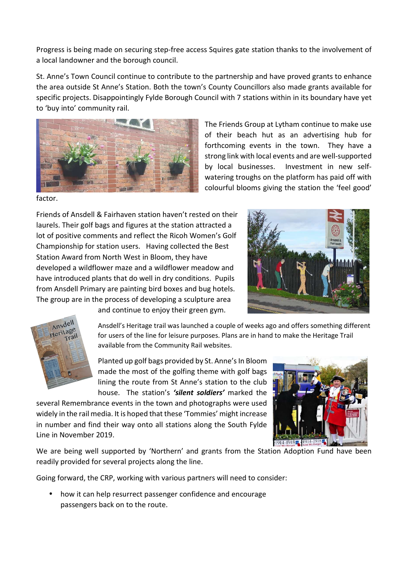Progress is being made on securing step-free access Squires gate station thanks to the involvement of a local landowner and the borough council.

St. Anne's Town Council continue to contribute to the partnership and have proved grants to enhance the area outside St Anne's Station. Both the town's County Councillors also made grants available for specific projects. Disappointingly Fylde Borough Council with 7 stations within in its boundary have yet to 'buy into' community rail.



The Friends Group at Lytham continue to make use of their beach hut as an advertising hub for forthcoming events in the town. They have a strong link with local events and are well-supported by local businesses. Investment in new selfwatering troughs on the platform has paid off with colourful blooms giving the station the 'feel good'

factor.

Friends of Ansdell & Fairhaven station haven't rested on their laurels. Their golf bags and figures at the station attracted a lot of positive comments and reflect the Ricoh Women's Golf Championship for station users. Having collected the Best Station Award from North West in Bloom, they have developed a wildflower maze and a wildflower meadow and have introduced plants that do well in dry conditions. Pupils from Ansdell Primary are painting bird boxes and bug hotels. The group are in the process of developing a sculpture area





and continue to enjoy their green gym.

Ansdell's Heritage trail was launched a couple of weeks ago and offers something different for users of the line for leisure purposes. Plans are in hand to make the Heritage Trail available from the Community Rail websites.

Planted up golf bags provided by St. Anne's In Bloom made the most of the golfing theme with golf bags lining the route from St Anne's station to the club house. The station's *'silent soldiers'* marked the

several Remembrance events in the town and photographs were used widely in the rail media. It is hoped that these 'Tommies' might increase in number and find their way onto all stations along the South Fylde Line in November 2019.



We are being well supported by 'Northern' and grants from the Station Adoption Fund have been readily provided for several projects along the line.

Going forward, the CRP, working with various partners will need to consider:

how it can help resurrect passenger confidence and encourage passengers back on to the route.